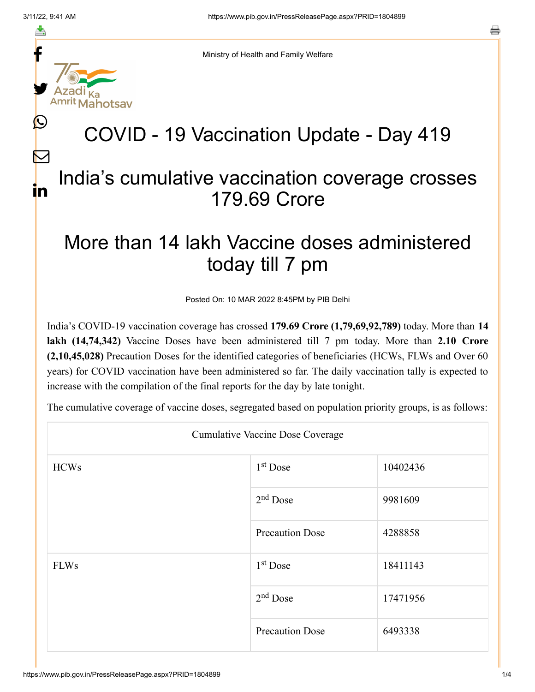f

≛

y.

L

 $\bm{\nabla}$ 

in



## COVID - 19 Vaccination Update - Day 419

## India's cumulative vaccination coverage crosses 179.69 Crore

## More than 14 lakh Vaccine doses administered today till 7 pm

Posted On: 10 MAR 2022 8:45PM by PIB Delhi

India's COVID-19 vaccination coverage has crossed **179.69 Crore (1,79,69,92,789)** today. More than **14 lakh (14,74,342)** Vaccine Doses have been administered till 7 pm today. More than **2.10 Crore (2,10,45,028)** Precaution Doses for the identified categories of beneficiaries (HCWs, FLWs and Over 60 years) for COVID vaccination have been administered so far. The daily vaccination tally is expected to increase with the compilation of the final reports for the day by late tonight.

The cumulative coverage of vaccine doses, segregated based on population priority groups, is as follows:

| <b>Cumulative Vaccine Dose Coverage</b> |                        |          |  |  |
|-----------------------------------------|------------------------|----------|--|--|
| <b>HCWs</b>                             | 1 <sup>st</sup> Dose   | 10402436 |  |  |
|                                         | $2nd$ Dose             | 9981609  |  |  |
|                                         | <b>Precaution Dose</b> | 4288858  |  |  |
| <b>FLWs</b>                             | $1st$ Dose             | 18411143 |  |  |
|                                         | $2nd$ Dose             | 17471956 |  |  |
|                                         | <b>Precaution Dose</b> | 6493338  |  |  |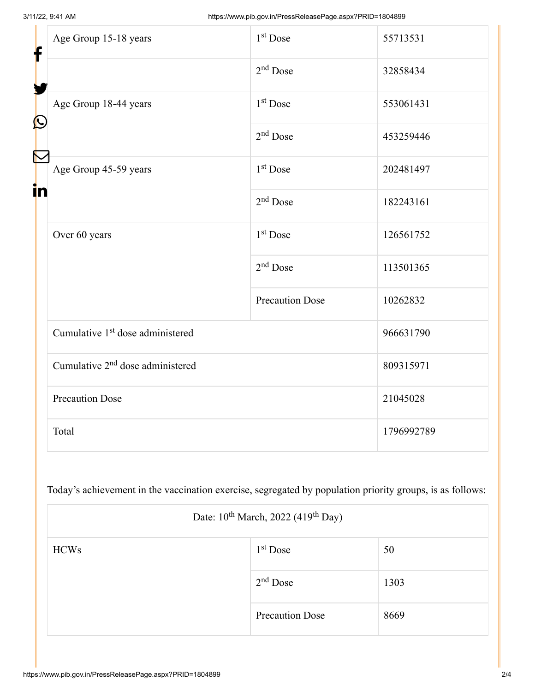| f<br>$\bf \Omega$ | Age Group 15-18 years                        | 1 <sup>st</sup> Dose   | 55713531   |
|-------------------|----------------------------------------------|------------------------|------------|
|                   |                                              | $2nd$ Dose             | 32858434   |
|                   | Age Group 18-44 years                        | $1st$ Dose             | 553061431  |
|                   |                                              | $2nd$ Dose             | 453259446  |
| in                | Age Group 45-59 years                        | 1 <sup>st</sup> Dose   | 202481497  |
|                   |                                              | $2nd$ Dose             | 182243161  |
|                   | Over 60 years                                | $1st$ Dose             | 126561752  |
|                   |                                              | $2nd$ Dose             | 113501365  |
|                   |                                              | <b>Precaution Dose</b> | 10262832   |
|                   | Cumulative 1 <sup>st</sup> dose administered |                        | 966631790  |
|                   | Cumulative 2 <sup>nd</sup> dose administered |                        | 809315971  |
|                   | <b>Precaution Dose</b>                       |                        | 21045028   |
|                   | Total                                        |                        | 1796992789 |

Today's achievement in the vaccination exercise, segregated by population priority groups, is as follows:

| Date: $10^{th}$ March, 2022 (419 <sup>th</sup> Day) |                        |      |  |
|-----------------------------------------------------|------------------------|------|--|
| <b>HCWs</b>                                         | $1st$ Dose             | 50   |  |
|                                                     | $2nd$ Dose             | 1303 |  |
|                                                     | <b>Precaution Dose</b> | 8669 |  |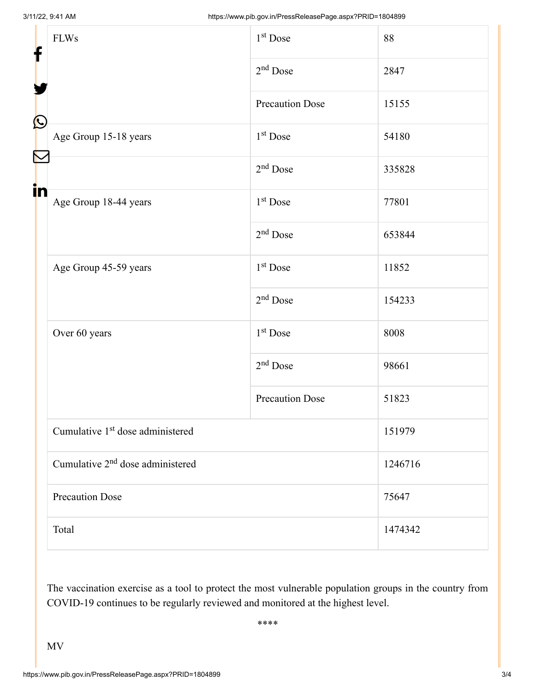| f            | <b>FLWs</b>                                  | 1 <sup>st</sup> Dose   | 88      |  |
|--------------|----------------------------------------------|------------------------|---------|--|
|              |                                              | $2nd$ Dose             | 2847    |  |
|              |                                              | <b>Precaution Dose</b> | 15155   |  |
| $\bf \Omega$ | Age Group 15-18 years                        | 1 <sup>st</sup> Dose   | 54180   |  |
|              |                                              | $2nd$ Dose             | 335828  |  |
| in           | Age Group 18-44 years                        | 1 <sup>st</sup> Dose   | 77801   |  |
|              |                                              | $2nd$ Dose             | 653844  |  |
|              | Age Group 45-59 years                        | 1 <sup>st</sup> Dose   | 11852   |  |
|              |                                              | $2nd$ Dose             | 154233  |  |
|              | Over 60 years                                | 1 <sup>st</sup> Dose   | 8008    |  |
|              |                                              | $2nd$ Dose             | 98661   |  |
|              |                                              | <b>Precaution Dose</b> | 51823   |  |
|              | Cumulative 1 <sup>st</sup> dose administered |                        | 151979  |  |
|              | Cumulative 2 <sup>nd</sup> dose administered |                        | 1246716 |  |
|              | <b>Precaution Dose</b>                       |                        | 75647   |  |
|              | Total                                        |                        | 1474342 |  |

The vaccination exercise as a tool to protect the most vulnerable population groups in the country from COVID-19 continues to be regularly reviewed and monitored at the highest level.

\*\*\*\*

MV